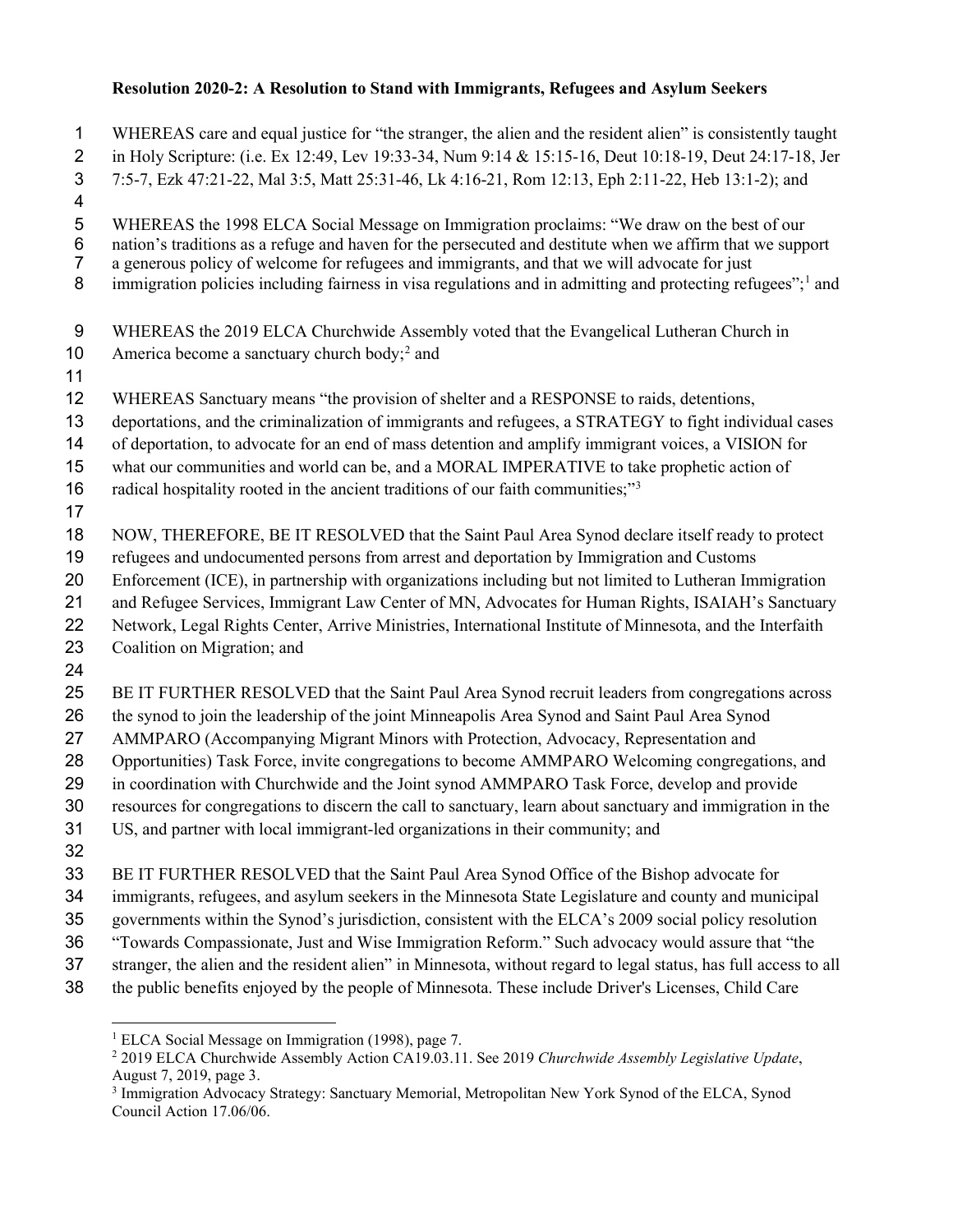## **Resolution 2020-2: A Resolution to Stand with Immigrants, Refugees and Asylum Seekers**

 WHEREAS care and equal justice for "the stranger, the alien and the resident alien" is consistently taught in Holy Scripture: (i.e. Ex 12:49, Lev 19:33-34, Num 9:14 & 15:15-16, Deut 10:18-19, Deut 24:17-18, Jer 7:5-7, Ezk 47:21-22, Mal 3:5, Matt 25:31-46, Lk 4:16-21, Rom 12:13, Eph 2:11-22, Heb 13:1-2); and WHEREAS the 1998 ELCA Social Message on Immigration proclaims: "We draw on the best of our nation's traditions as a refuge and haven for the persecuted and destitute when we affirm that we support a generous policy of welcome for refugees and immigrants, and that we will advocate for just  $\delta$  immigration policies including fairness in visa regulations and in admitting and protecting refugees"; and WHEREAS the 2019 ELCA Churchwide Assembly voted that the Evangelical Lutheran Church in 10 America become a sanctuary church body;<sup>[2](#page-0-1)</sup> and WHEREAS Sanctuary means "the provision of shelter and a RESPONSE to raids, detentions, deportations, and the criminalization of immigrants and refugees, a STRATEGY to fight individual cases of deportation, to advocate for an end of mass detention and amplify immigrant voices, a VISION for what our communities and world can be, and a MORAL IMPERATIVE to take prophetic action of 16 radical hospitality rooted in the ancient traditions of our faith communities;"<sup>[3](#page-0-2)</sup> NOW, THEREFORE, BE IT RESOLVED that the Saint Paul Area Synod declare itself ready to protect refugees and undocumented persons from arrest and deportation by Immigration and Customs Enforcement (ICE), in partnership with organizations including but not limited to Lutheran Immigration and Refugee Services, Immigrant Law Center of MN, Advocates for Human Rights, ISAIAH's Sanctuary Network, Legal Rights Center, Arrive Ministries, International Institute of Minnesota, and the Interfaith Coalition on Migration; and BE IT FURTHER RESOLVED that the Saint Paul Area Synod recruit leaders from congregations across the synod to join the leadership of the joint Minneapolis Area Synod and Saint Paul Area Synod AMMPARO (Accompanying Migrant Minors with Protection, Advocacy, Representation and Opportunities) Task Force, invite congregations to become AMMPARO Welcoming congregations, and in coordination with Churchwide and the Joint synod AMMPARO Task Force, develop and provide resources for congregations to discern the call to sanctuary, learn about sanctuary and immigration in the US, and partner with local immigrant-led organizations in their community; and

BE IT FURTHER RESOLVED that the Saint Paul Area Synod Office of the Bishop advocate for

immigrants, refugees, and asylum seekers in the Minnesota State Legislature and county and municipal

governments within the Synod's jurisdiction, consistent with the ELCA's 2009 social policy resolution

- "Towards Compassionate, Just and Wise Immigration Reform." Such advocacy would assure that "the
- stranger, the alien and the resident alien" in Minnesota, without regard to legal status, has full access to all
- <span id="page-0-1"></span><span id="page-0-0"></span>the public benefits enjoyed by the people of Minnesota. These include Driver's Licenses, Child Care

<sup>&</sup>lt;sup>1</sup> ELCA Social Message on Immigration (1998), page 7.

 2019 ELCA Churchwide Assembly Action CA19.03.11. See 2019 *Churchwide Assembly Legislative Update*, August 7, 2019, page 3.

<span id="page-0-2"></span> Immigration Advocacy Strategy: Sanctuary Memorial, Metropolitan New York Synod of the ELCA, Synod Council Action 17.06/06.